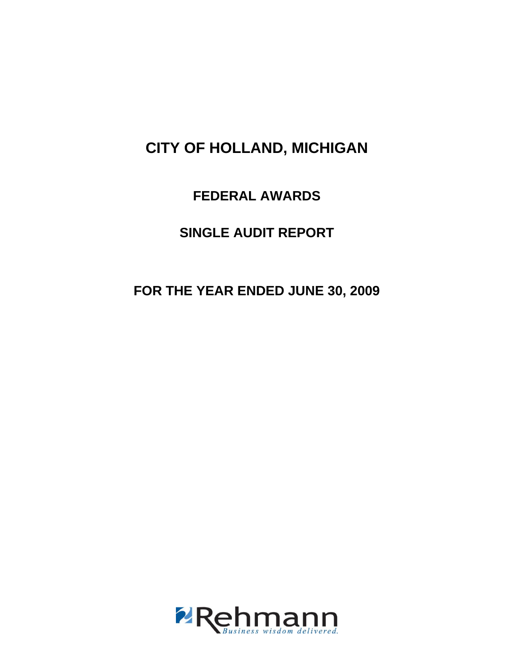## **FEDERAL AWARDS**

## **SINGLE AUDIT REPORT**

# **FOR THE YEAR ENDED JUNE 30, 2009**

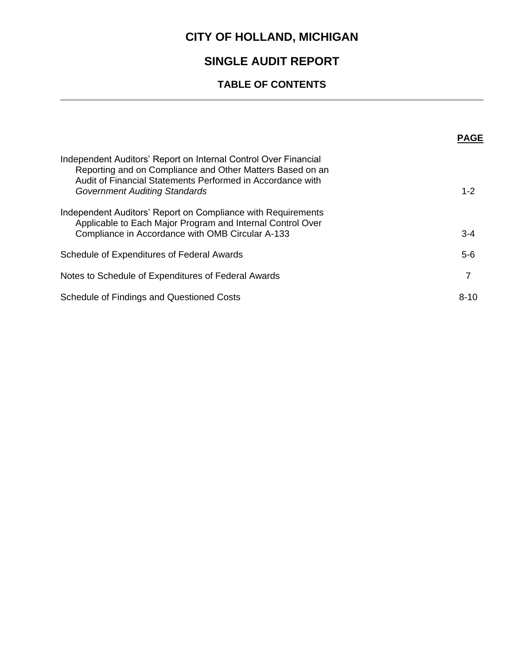## **SINGLE AUDIT REPORT**

## **TABLE OF CONTENTS**

|                                                                                                                                                                                                                                    | PAGE     |
|------------------------------------------------------------------------------------------------------------------------------------------------------------------------------------------------------------------------------------|----------|
| Independent Auditors' Report on Internal Control Over Financial<br>Reporting and on Compliance and Other Matters Based on an<br>Audit of Financial Statements Performed in Accordance with<br><b>Government Auditing Standards</b> | $1 - 2$  |
| Independent Auditors' Report on Compliance with Requirements<br>Applicable to Each Major Program and Internal Control Over<br>Compliance in Accordance with OMB Circular A-133                                                     | $3 - 4$  |
| Schedule of Expenditures of Federal Awards                                                                                                                                                                                         | $5 - 6$  |
| Notes to Schedule of Expenditures of Federal Awards                                                                                                                                                                                | 7        |
| Schedule of Findings and Questioned Costs                                                                                                                                                                                          | $8 - 10$ |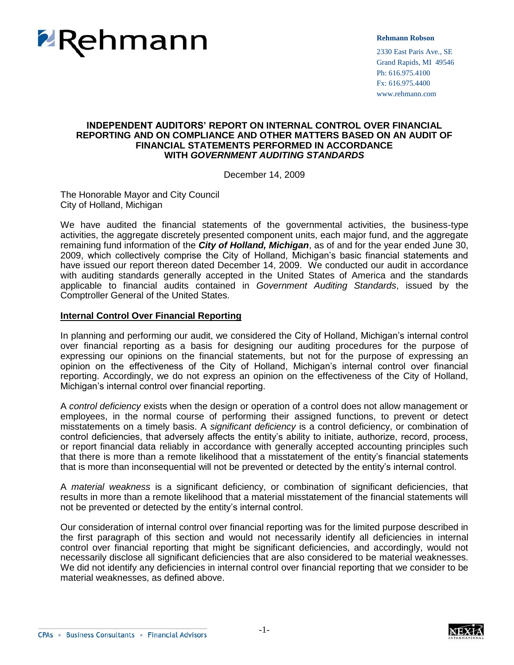

#### **Rehmann Robson**

2330 East Paris Ave., SE Grand Rapids, MI 49546 Ph: 616.975.4100 Fx: 616.975.4400 www.rehmann.com

#### **INDEPENDENT AUDITORS' REPORT ON INTERNAL CONTROL OVER FINANCIAL REPORTING AND ON COMPLIANCE AND OTHER MATTERS BASED ON AN AUDIT OF FINANCIAL STATEMENTS PERFORMED IN ACCORDANCE WITH** *GOVERNMENT AUDITING STANDARDS*

December 14, 2009

The Honorable Mayor and City Council City of Holland, Michigan

We have audited the financial statements of the governmental activities, the business-type activities, the aggregate discretely presented component units, each major fund, and the aggregate remaining fund information of the *City of Holland, Michigan*, as of and for the year ended June 30, 2009, which collectively comprise the City of Holland, Michigan's basic financial statements and have issued our report thereon dated December 14, 2009. We conducted our audit in accordance with auditing standards generally accepted in the United States of America and the standards applicable to financial audits contained in *Government Auditing Standards*, issued by the Comptroller General of the United States.

#### **Internal Control Over Financial Reporting**

In planning and performing our audit, we considered the City of Holland, Michigan's internal control over financial reporting as a basis for designing our auditing procedures for the purpose of expressing our opinions on the financial statements, but not for the purpose of expressing an opinion on the effectiveness of the City of Holland, Michigan's internal control over financial reporting. Accordingly, we do not express an opinion on the effectiveness of the City of Holland, Michigan's internal control over financial reporting.

A *control deficiency* exists when the design or operation of a control does not allow management or employees, in the normal course of performing their assigned functions, to prevent or detect misstatements on a timely basis. A *significant deficiency* is a control deficiency, or combination of control deficiencies, that adversely affects the entity's ability to initiate, authorize, record, process, or report financial data reliably in accordance with generally accepted accounting principles such that there is more than a remote likelihood that a misstatement of the entity's financial statements that is more than inconsequential will not be prevented or detected by the entity's internal control.

A *material weakness* is a significant deficiency, or combination of significant deficiencies, that results in more than a remote likelihood that a material misstatement of the financial statements will not be prevented or detected by the entity's internal control.

Our consideration of internal control over financial reporting was for the limited purpose described in the first paragraph of this section and would not necessarily identify all deficiencies in internal control over financial reporting that might be significant deficiencies, and accordingly, would not necessarily disclose all significant deficiencies that are also considered to be material weaknesses. We did not identify any deficiencies in internal control over financial reporting that we consider to be material weaknesses, as defined above.

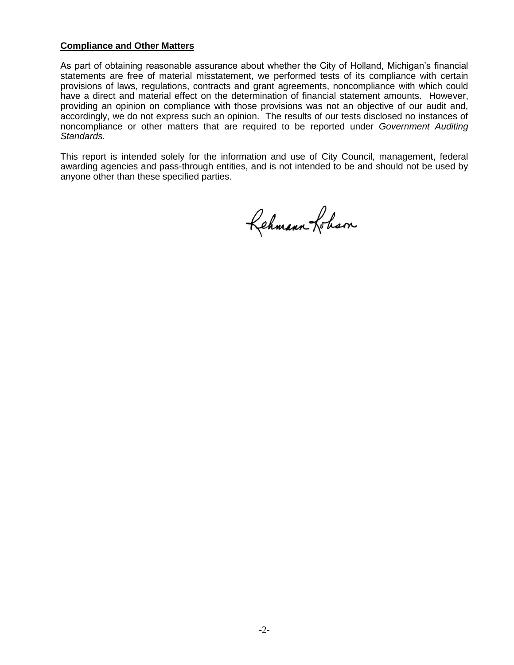#### **Compliance and Other Matters**

As part of obtaining reasonable assurance about whether the City of Holland, Michigan's financial statements are free of material misstatement, we performed tests of its compliance with certain provisions of laws, regulations, contracts and grant agreements, noncompliance with which could have a direct and material effect on the determination of financial statement amounts. However, providing an opinion on compliance with those provisions was not an objective of our audit and, accordingly, we do not express such an opinion. The results of our tests disclosed no instances of noncompliance or other matters that are required to be reported under *Government Auditing Standards*.

This report is intended solely for the information and use of City Council, management, federal awarding agencies and pass-through entities, and is not intended to be and should not be used by anyone other than these specified parties.

Rehmann Loham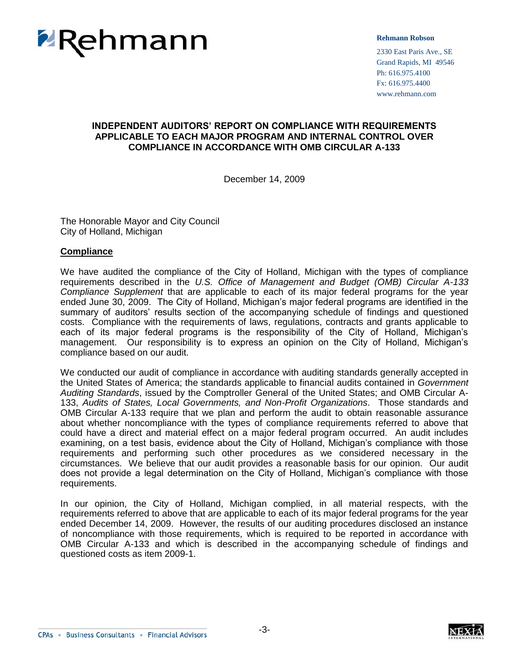

#### **Rehmann Robson**

2330 East Paris Ave., SE Grand Rapids, MI 49546 Ph: 616.975.4100 Fx: 616.975.4400 www.rehmann.com

#### **INDEPENDENT AUDITORS' REPORT ON COMPLIANCE WITH REQUIREMENTS APPLICABLE TO EACH MAJOR PROGRAM AND INTERNAL CONTROL OVER COMPLIANCE IN ACCORDANCE WITH OMB CIRCULAR A-133**

December 14, 2009

The Honorable Mayor and City Council City of Holland, Michigan

#### **Compliance**

We have audited the compliance of the City of Holland, Michigan with the types of compliance requirements described in the *U.S. Office of Management and Budget (OMB) Circular A-133 Compliance Supplement* that are applicable to each of its major federal programs for the year ended June 30, 2009. The City of Holland, Michigan's major federal programs are identified in the summary of auditors' results section of the accompanying schedule of findings and questioned costs. Compliance with the requirements of laws, regulations, contracts and grants applicable to each of its major federal programs is the responsibility of the City of Holland, Michigan's management. Our responsibility is to express an opinion on the City of Holland, Michigan's compliance based on our audit.

We conducted our audit of compliance in accordance with auditing standards generally accepted in the United States of America; the standards applicable to financial audits contained in *Government Auditing Standards*, issued by the Comptroller General of the United States; and OMB Circular A-133, *Audits of States, Local Governments, and Non-Profit Organizations*. Those standards and OMB Circular A-133 require that we plan and perform the audit to obtain reasonable assurance about whether noncompliance with the types of compliance requirements referred to above that could have a direct and material effect on a major federal program occurred. An audit includes examining, on a test basis, evidence about the City of Holland, Michigan's compliance with those requirements and performing such other procedures as we considered necessary in the circumstances. We believe that our audit provides a reasonable basis for our opinion. Our audit does not provide a legal determination on the City of Holland, Michigan's compliance with those requirements.

In our opinion, the City of Holland, Michigan complied, in all material respects, with the requirements referred to above that are applicable to each of its major federal programs for the year ended December 14, 2009. However, the results of our auditing procedures disclosed an instance of noncompliance with those requirements, which is required to be reported in accordance with OMB Circular A-133 and which is described in the accompanying schedule of findings and questioned costs as item 2009-1.

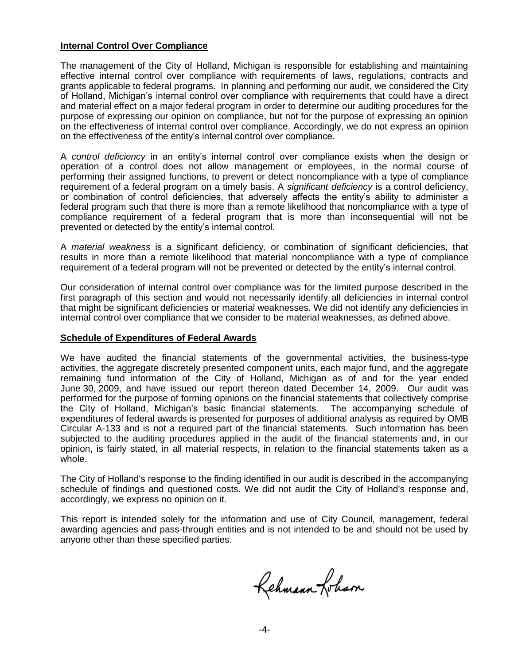#### **Internal Control Over Compliance**

The management of the City of Holland, Michigan is responsible for establishing and maintaining effective internal control over compliance with requirements of laws, regulations, contracts and grants applicable to federal programs. In planning and performing our audit, we considered the City of Holland, Michigan's internal control over compliance with requirements that could have a direct and material effect on a major federal program in order to determine our auditing procedures for the purpose of expressing our opinion on compliance, but not for the purpose of expressing an opinion on the effectiveness of internal control over compliance. Accordingly, we do not express an opinion on the effectiveness of the entity's internal control over compliance.

A *control deficiency* in an entity's internal control over compliance exists when the design or operation of a control does not allow management or employees, in the normal course of performing their assigned functions, to prevent or detect noncompliance with a type of compliance requirement of a federal program on a timely basis. A *significant deficiency* is a control deficiency, or combination of control deficiencies, that adversely affects the entity's ability to administer a federal program such that there is more than a remote likelihood that noncompliance with a type of compliance requirement of a federal program that is more than inconsequential will not be prevented or detected by the entity's internal control.

A *material weakness* is a significant deficiency, or combination of significant deficiencies, that results in more than a remote likelihood that material noncompliance with a type of compliance requirement of a federal program will not be prevented or detected by the entity's internal control.

Our consideration of internal control over compliance was for the limited purpose described in the first paragraph of this section and would not necessarily identify all deficiencies in internal control that might be significant deficiencies or material weaknesses. We did not identify any deficiencies in internal control over compliance that we consider to be material weaknesses, as defined above.

#### **Schedule of Expenditures of Federal Awards**

We have audited the financial statements of the governmental activities, the business-type activities, the aggregate discretely presented component units, each major fund, and the aggregate remaining fund information of the City of Holland, Michigan as of and for the year ended June 30, 2009, and have issued our report thereon dated December 14, 2009. Our audit was performed for the purpose of forming opinions on the financial statements that collectively comprise the City of Holland, Michigan's basic financial statements. The accompanying schedule of expenditures of federal awards is presented for purposes of additional analysis as required by OMB Circular A-133 and is not a required part of the financial statements. Such information has been subjected to the auditing procedures applied in the audit of the financial statements and, in our opinion, is fairly stated, in all material respects, in relation to the financial statements taken as a whole.

The City of Holland's response to the finding identified in our audit is described in the accompanying schedule of findings and questioned costs. We did not audit the City of Holland's response and, accordingly, we express no opinion on it.

This report is intended solely for the information and use of City Council, management, federal awarding agencies and pass-through entities and is not intended to be and should not be used by anyone other than these specified parties.

Rehmann Lobson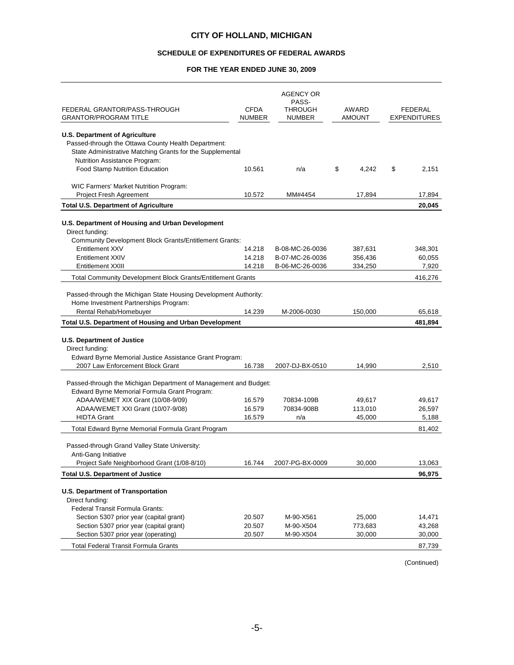| FEDERAL GRANTOR/PASS-THROUGH<br><b>GRANTOR/PROGRAM TITLE</b>                                                                                                                                      | <b>CFDA</b><br><b>NUMBER</b> | <b>AGENCY OR</b><br>PASS-<br><b>THROUGH</b><br><b>NUMBER</b> | <b>AWARD</b><br><b>AMOUNT</b> | <b>FEDERAL</b><br><b>EXPENDITURES</b> |
|---------------------------------------------------------------------------------------------------------------------------------------------------------------------------------------------------|------------------------------|--------------------------------------------------------------|-------------------------------|---------------------------------------|
| <b>U.S. Department of Agriculture</b><br>Passed-through the Ottawa County Health Department:<br>State Administrative Matching Grants for the Supplemental<br><b>Nutrition Assistance Program:</b> |                              |                                                              |                               |                                       |
| <b>Food Stamp Nutrition Education</b>                                                                                                                                                             | 10.561                       | n/a                                                          | \$<br>4,242                   | \$<br>2,151                           |
| <b>WIC Farmers' Market Nutrition Program:</b><br><b>Project Fresh Agreement</b>                                                                                                                   | 10.572                       | MM#4454                                                      | 17,894                        | 17,894                                |
| <b>Total U.S. Department of Agriculture</b>                                                                                                                                                       |                              |                                                              |                               | 20,045                                |
| U.S. Department of Housing and Urban Development<br>Direct funding:<br><b>Community Development Block Grants/Entitlement Grants:</b>                                                              |                              |                                                              |                               |                                       |
| Entitlement XXV                                                                                                                                                                                   | 14.218                       | B-08-MC-26-0036                                              | 387,631                       | 348,301                               |
| <b>Entitlement XXIV</b>                                                                                                                                                                           | 14.218                       | B-07-MC-26-0036                                              | 356,436                       | 60,055                                |
| <b>Entitlement XXIII</b>                                                                                                                                                                          | 14.218                       | B-06-MC-26-0036                                              | 334,250                       | 7,920                                 |
| <b>Total Community Development Block Grants/Entitlement Grants</b>                                                                                                                                |                              |                                                              |                               | 416,276                               |
| Passed-through the Michigan State Housing Development Authority:<br>Home Investment Partnerships Program:                                                                                         |                              |                                                              |                               |                                       |
| Rental Rehab/Homebuyer                                                                                                                                                                            | 14.239                       | M-2006-0030                                                  | 150,000                       | 65,618                                |
| <b>Total U.S. Department of Housing and Urban Development</b>                                                                                                                                     |                              |                                                              |                               | 481,894                               |
| <b>U.S. Department of Justice</b><br>Direct funding:<br>Edward Byrne Memorial Justice Assistance Grant Program:                                                                                   |                              |                                                              |                               |                                       |
| 2007 Law Enforcement Block Grant                                                                                                                                                                  | 16.738                       | 2007-DJ-BX-0510                                              | 14,990                        | 2,510                                 |
| Passed-through the Michigan Department of Management and Budget:<br>Edward Byrne Memorial Formula Grant Program:                                                                                  |                              |                                                              |                               |                                       |
| ADAA/WEMET XIX Grant (10/08-9/09)                                                                                                                                                                 | 16.579                       | 70834-109B                                                   | 49,617                        | 49,617                                |
| ADAA/WEMET XXI Grant (10/07-9/08)<br><b>HIDTA Grant</b>                                                                                                                                           | 16.579<br>16.579             | 70834-908B<br>n/a                                            | 113,010<br>45,000             | 26,597<br>5,188                       |
|                                                                                                                                                                                                   |                              |                                                              |                               |                                       |
| Total Edward Byrne Memorial Formula Grant Program                                                                                                                                                 |                              |                                                              |                               | 81,402                                |
| Passed-through Grand Valley State University:<br>Anti-Gang Initiative                                                                                                                             |                              |                                                              |                               |                                       |
| Project Safe Neighborhood Grant (1/08-8/10)                                                                                                                                                       | 16.744                       | 2007-PG-BX-0009                                              | 30,000                        | 13,063                                |
| <b>Total U.S. Department of Justice</b>                                                                                                                                                           |                              |                                                              |                               | 96,975                                |
| <b>U.S. Department of Transportation</b><br>Direct funding:<br><b>Federal Transit Formula Grants:</b><br>Section 5307 prior year (capital grant)                                                  | 20.507                       | M-90-X561                                                    | 25,000                        | 14,471                                |

| Section 5307 prior year (capital grant) | 20.507 | M-90-X504 | 773,683 | 43,268 |
|-----------------------------------------|--------|-----------|---------|--------|
| Section 5307 prior year (operating)     | 20.507 | M-90-X504 | 30,000  | 30,000 |
| Total Federal Transit Formula Grants    |        |           |         | 87,739 |

(Continued)

## **CITY OF HOLLAND, MICHIGAN**

### **SCHEDULE OF EXPENDITURES OF FEDERAL AWARDS**

#### **FOR THE YEAR ENDED JUNE 30, 2009**

-5-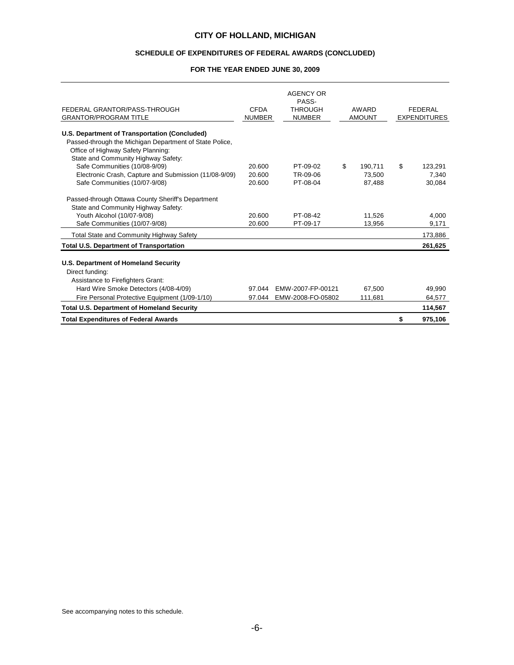| FEDERAL GRANTOR/PASS-THROUGH<br><b>GRANTOR/PROGRAM TITLE</b> | <b>CFDA</b><br><b>NUMBER</b> | <b>AGENCY OR</b><br>PASS-<br><b>THROUGH</b><br><b>NUMBER</b> | AWARD<br><b>AMOUNT</b> | <b>FEDERAL</b><br><b>EXPENDITURES</b> |
|--------------------------------------------------------------|------------------------------|--------------------------------------------------------------|------------------------|---------------------------------------|
| U.S. Department of Transportation (Concluded)                |                              |                                                              |                        |                                       |
| Passed-through the Michigan Department of State Police,      |                              |                                                              |                        |                                       |
| Office of Highway Safety Planning:                           |                              |                                                              |                        |                                       |
| State and Community Highway Safety:                          |                              |                                                              |                        |                                       |
| Safe Communities (10/08-9/09)                                | 20.600                       | PT-09-02                                                     | \$<br>190,711          | \$<br>123,291                         |
| Electronic Crash, Capture and Submission (11/08-9/09)        | 20.600                       | TR-09-06                                                     | 73,500                 | 7,340                                 |
| Safe Communities (10/07-9/08)                                | 20.600                       | PT-08-04                                                     | 87,488                 | 30,084                                |
| Passed-through Ottawa County Sheriff's Department            |                              |                                                              |                        |                                       |
| State and Community Highway Safety:                          |                              |                                                              |                        |                                       |
| Youth Alcohol (10/07-9/08)                                   | 20.600                       | PT-08-42                                                     | 11,526                 | 4,000                                 |
| Safe Communities (10/07-9/08)                                | 20.600                       | PT-09-17                                                     | 13,956                 | 9,171                                 |
| <b>Total State and Community Highway Safety</b>              |                              |                                                              |                        | 173,886                               |
| <b>Total U.S. Department of Transportation</b>               |                              |                                                              |                        | 261,625                               |
| <b>U.S. Department of Homeland Security</b>                  |                              |                                                              |                        |                                       |
| Direct funding:                                              |                              |                                                              |                        |                                       |
| Assistance to Firefighters Grant:                            |                              |                                                              |                        |                                       |
| Hard Wire Smoke Detectors (4/08-4/09)                        | 97.044                       | EMW-2007-FP-00121                                            | 67,500                 | 49,990                                |
| Fire Personal Protective Equipment (1/09-1/10)               | 97.044                       | EMW-2008-FO-05802                                            | 111,681                | 64,577                                |
|                                                              |                              |                                                              |                        |                                       |
| <b>Total U.S. Department of Homeland Security</b>            |                              |                                                              |                        | 114,567                               |
| <b>Total Expenditures of Federal Awards</b>                  |                              |                                                              |                        | \$<br>975,106                         |

See accompanying notes to this schedule.

# **CITY OF HOLLAND, MICHIGAN**

## **SCHEDULE OF EXPENDITURES OF FEDERAL AWARDS (CONCLUDED)**

## **FOR THE YEAR ENDED JUNE 30, 2009**

-6-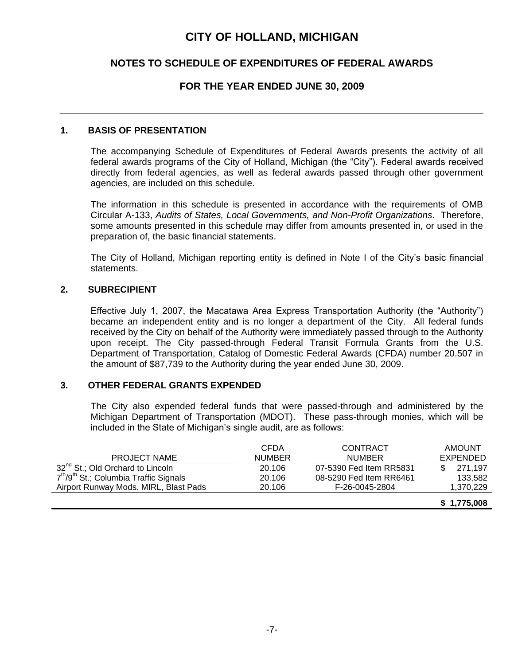### **NOTES TO SCHEDULE OF EXPENDITURES OF FEDERAL AWARDS**

#### **FOR THE YEAR ENDED JUNE 30, 2009**

#### **1. BASIS OF PRESENTATION**

The accompanying Schedule of Expenditures of Federal Awards presents the activity of all federal awards programs of the City of Holland, Michigan (the "City"). Federal awards received directly from federal agencies, as well as federal awards passed through other government agencies, are included on this schedule.

The information in this schedule is presented in accordance with the requirements of OMB Circular A-133, *Audits of States, Local Governments, and Non-Profit Organizations*. Therefore, some amounts presented in this schedule may differ from amounts presented in, or used in the preparation of, the basic financial statements.

The City of Holland, Michigan reporting entity is defined in Note I of the City's basic financial statements.

#### **2. SUBRECIPIENT**

Effective July 1, 2007, the Macatawa Area Express Transportation Authority (the "Authority") became an independent entity and is no longer a department of the City. All federal funds received by the City on behalf of the Authority were immediately passed through to the Authority upon receipt. The City passed-through Federal Transit Formula Grants from the U.S. Department of Transportation, Catalog of Domestic Federal Awards (CFDA) number 20.507 in the amount of \$87,739 to the Authority during the year ended June 30, 2009.

#### **3. OTHER FEDERAL GRANTS EXPENDED**

The City also expended federal funds that were passed-through and administered by the Michigan Department of Transportation (MDOT). These pass-through monies, which will be included in the State of Michigan's single audit, are as follows:

|                                                                | <b>CFDA</b>   | CONTRACT                | AMOUNT      |
|----------------------------------------------------------------|---------------|-------------------------|-------------|
| <b>PROJECT NAME</b>                                            | <b>NUMBER</b> | <b>NUMBER</b>           | EXPENDED    |
| $32^{nd}$ St.; Old Orchard to Lincoln                          | 20.106        | 07-5390 Fed Item RR5831 | 271,197     |
| 7 <sup>th</sup> /9 <sup>th</sup> St.; Columbia Traffic Signals | 20.106        | 08-5290 Fed Item RR6461 | 133.582     |
| Airport Runway Mods. MIRL, Blast Pads                          | 20.106        | F-26-0045-2804          | 1,370,229   |
|                                                                |               |                         | \$1,775,008 |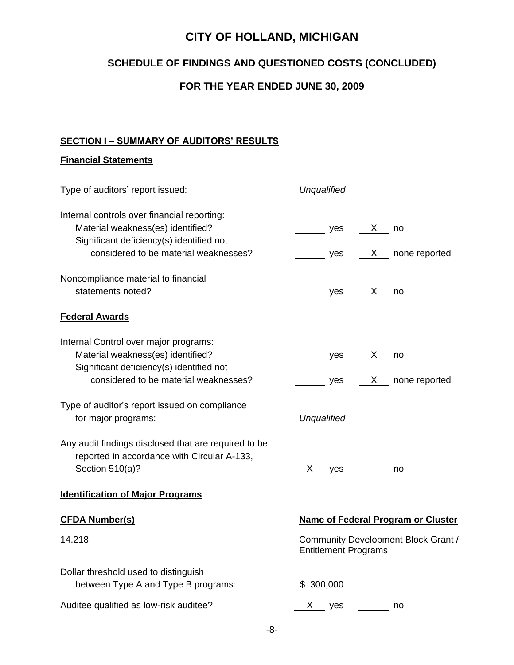## **SCHEDULE OF FINDINGS AND QUESTIONED COSTS (CONCLUDED)**

### **FOR THE YEAR ENDED JUNE 30, 2009**

#### **SECTION I – SUMMARY OF AUDITORS' RESULTS**

#### **Financial Statements**

| Type of auditors' report issued:                                                                                             | Unqualified                                                              |
|------------------------------------------------------------------------------------------------------------------------------|--------------------------------------------------------------------------|
| Internal controls over financial reporting:<br>Material weakness(es) identified?<br>Significant deficiency(s) identified not | X no<br>$\rule{1em}{0.15mm}$ yes                                         |
| considered to be material weaknesses?                                                                                        | yes X none reported                                                      |
| Noncompliance material to financial<br>statements noted?                                                                     |                                                                          |
|                                                                                                                              | $\frac{1}{\sqrt{1-\frac{1}{2}}}$ yes $\frac{1}{\sqrt{1-\frac{1}{2}}}$ no |
| <b>Federal Awards</b>                                                                                                        |                                                                          |
| Internal Control over major programs:<br>Material weakness(es) identified?<br>Significant deficiency(s) identified not       | $\frac{1}{\sqrt{1-x^2}}$ yes $\frac{1}{\sqrt{1-x^2}}$ no                 |
| considered to be material weaknesses?                                                                                        | yes X none reported                                                      |
| Type of auditor's report issued on compliance<br>for major programs:                                                         | <b>Unqualified</b>                                                       |
| Any audit findings disclosed that are required to be<br>reported in accordance with Circular A-133,<br>Section 510(a)?       | $X \t = yes$<br>no                                                       |
| <b>Identification of Major Programs</b>                                                                                      |                                                                          |
| <b>CFDA Number(s)</b>                                                                                                        | <b>Name of Federal Program or Cluster</b>                                |
| 14.218                                                                                                                       | Community Development Block Grant /<br><b>Entitlement Programs</b>       |
| Dollar threshold used to distinguish<br>between Type A and Type B programs:                                                  | \$300,000                                                                |
| Auditee qualified as low-risk auditee?                                                                                       | X yes<br>no                                                              |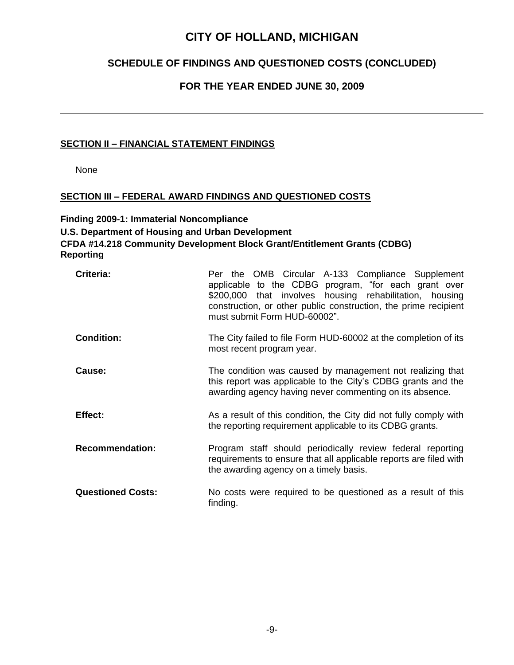### **SCHEDULE OF FINDINGS AND QUESTIONED COSTS (CONCLUDED)**

### **FOR THE YEAR ENDED JUNE 30, 2009**

#### **SECTION II – FINANCIAL STATEMENT FINDINGS**

None

#### **SECTION III – FEDERAL AWARD FINDINGS AND QUESTIONED COSTS**

#### **Finding 2009-1: Immaterial Noncompliance U.S. Department of Housing and Urban Development CFDA #14.218 Community Development Block Grant/Entitlement Grants (CDBG) Reporting**

| Criteria:                | Per the OMB Circular A-133 Compliance Supplement<br>applicable to the CDBG program, "for each grant over<br>\$200,000 that involves housing rehabilitation, housing<br>construction, or other public construction, the prime recipient<br>must submit Form HUD-60002". |
|--------------------------|------------------------------------------------------------------------------------------------------------------------------------------------------------------------------------------------------------------------------------------------------------------------|
| <b>Condition:</b>        | The City failed to file Form HUD-60002 at the completion of its<br>most recent program year.                                                                                                                                                                           |
| Cause:                   | The condition was caused by management not realizing that<br>this report was applicable to the City's CDBG grants and the<br>awarding agency having never commenting on its absence.                                                                                   |
| Effect:                  | As a result of this condition, the City did not fully comply with<br>the reporting requirement applicable to its CDBG grants.                                                                                                                                          |
| <b>Recommendation:</b>   | Program staff should periodically review federal reporting<br>requirements to ensure that all applicable reports are filed with<br>the awarding agency on a timely basis.                                                                                              |
| <b>Questioned Costs:</b> | No costs were required to be questioned as a result of this<br>finding.                                                                                                                                                                                                |